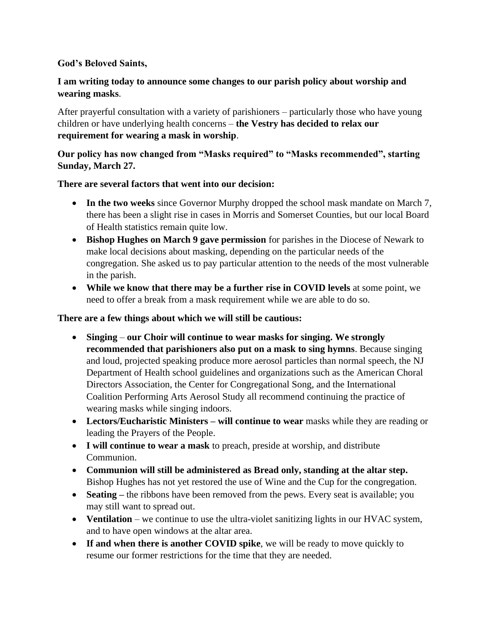#### **God's Beloved Saints,**

# **I am writing today to announce some changes to our parish policy about worship and wearing masks**.

After prayerful consultation with a variety of parishioners – particularly those who have young children or have underlying health concerns – **the Vestry has decided to relax our requirement for wearing a mask in worship**.

## **Our policy has now changed from "Masks required" to "Masks recommended", starting Sunday, March 27.**

### **There are several factors that went into our decision:**

- **In the two weeks** since Governor Murphy dropped the school mask mandate on March 7, there has been a slight rise in cases in Morris and Somerset Counties, but our local Board of Health statistics remain quite low.
- **Bishop Hughes on March 9 gave permission** for parishes in the Diocese of Newark to make local decisions about masking, depending on the particular needs of the congregation. She asked us to pay particular attention to the needs of the most vulnerable in the parish.
- **While we know that there may be a further rise in COVID levels** at some point, we need to offer a break from a mask requirement while we are able to do so.

#### **There are a few things about which we will still be cautious:**

- **Singing our Choir will continue to wear masks for singing. We strongly recommended that parishioners also put on a mask to sing hymns**. Because singing and loud, projected speaking produce more aerosol particles than normal speech, the NJ Department of Health school guidelines and organizations such as the American Choral Directors Association, the Center for Congregational Song, and the International Coalition Performing Arts Aerosol Study all recommend continuing the practice of wearing masks while singing indoors.
- **Lectors/Eucharistic Ministers – will continue to wear** masks while they are reading or leading the Prayers of the People.
- **I will continue to wear a mask** to preach, preside at worship, and distribute Communion.
- **Communion will still be administered as Bread only, standing at the altar step.** Bishop Hughes has not yet restored the use of Wine and the Cup for the congregation.
- **Seating** the ribbons have been removed from the pews. Every seat is available; you may still want to spread out.
- **Ventilation** we continue to use the ultra-violet sanitizing lights in our HVAC system, and to have open windows at the altar area.
- **If and when there is another COVID spike**, we will be ready to move quickly to resume our former restrictions for the time that they are needed.